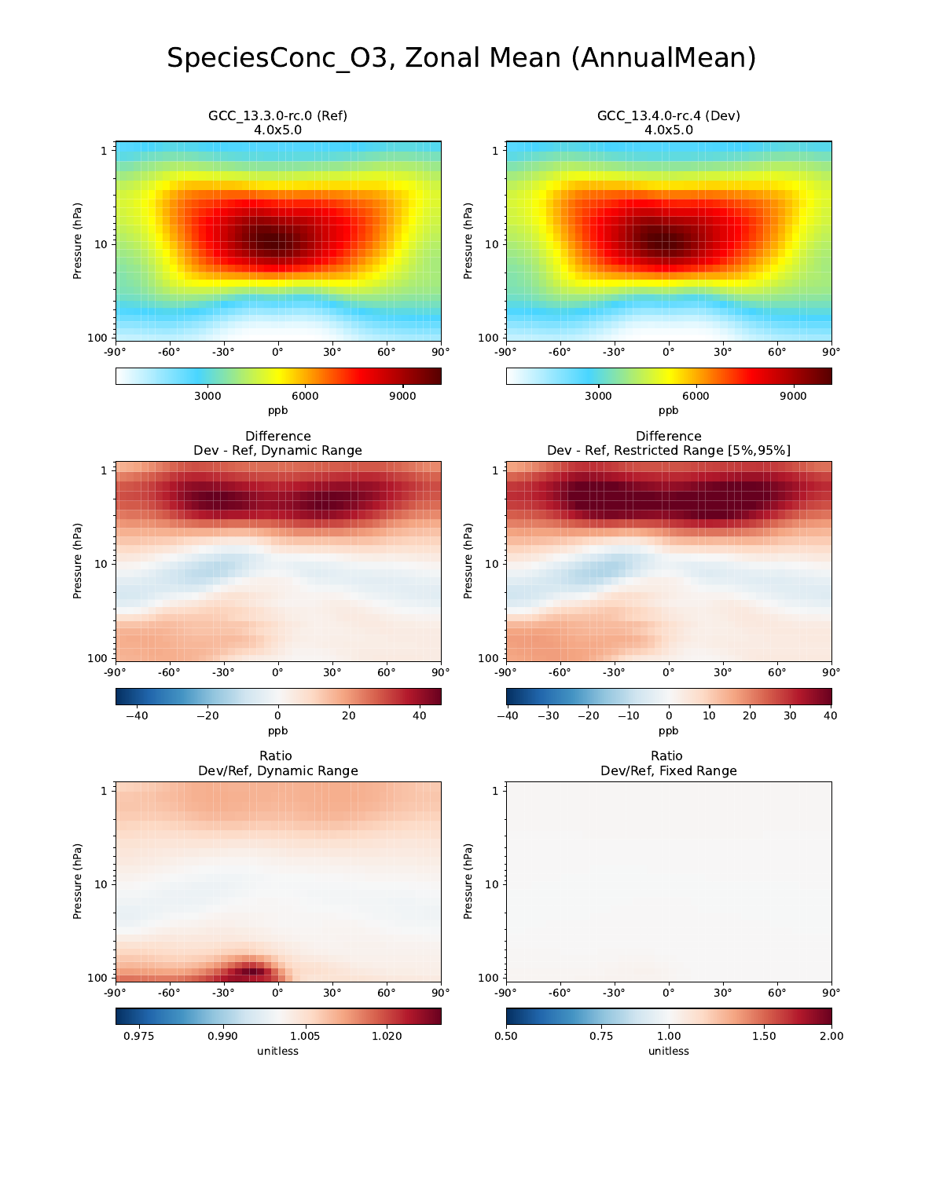## SpeciesConc\_O3, Zonal Mean (AnnualMean)

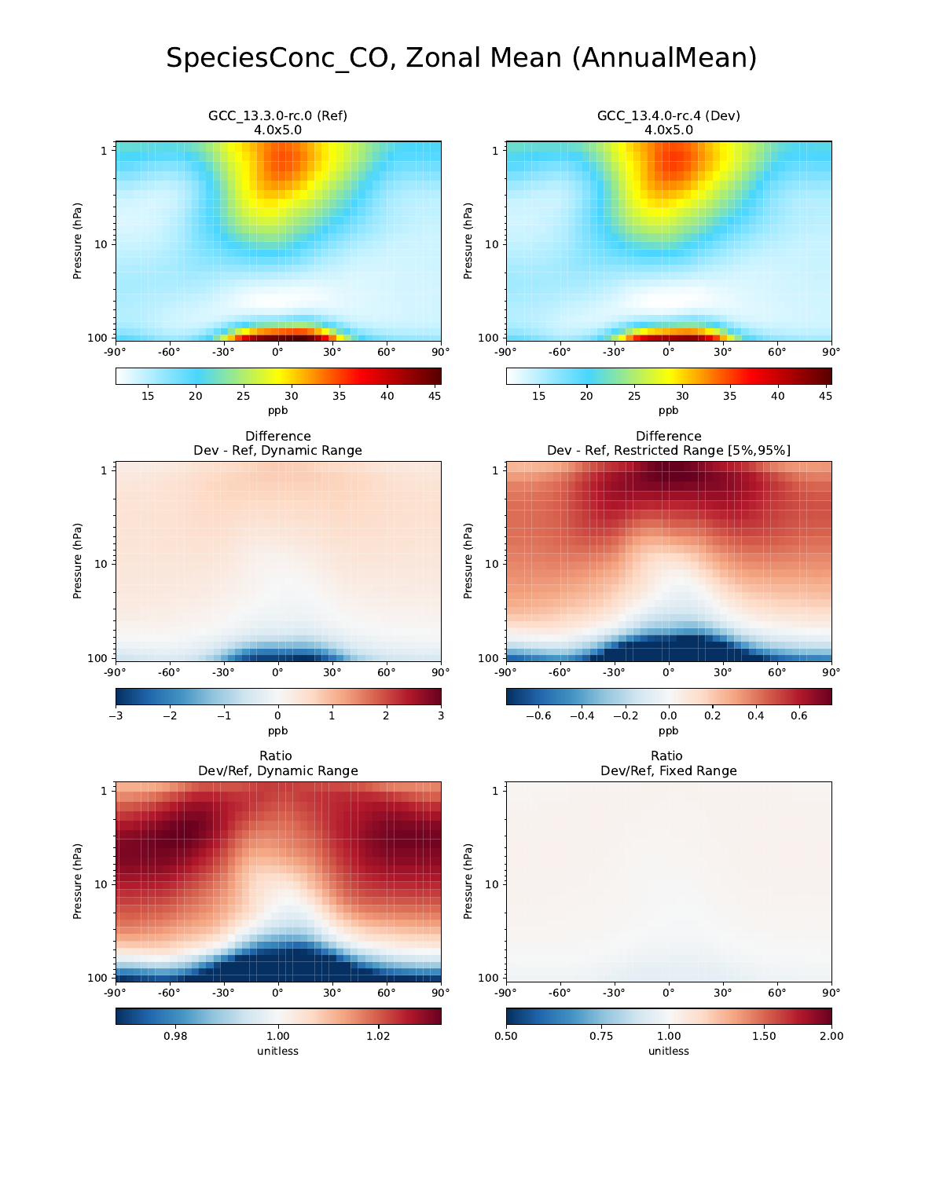## SpeciesConc\_CO, Zonal Mean (AnnualMean)

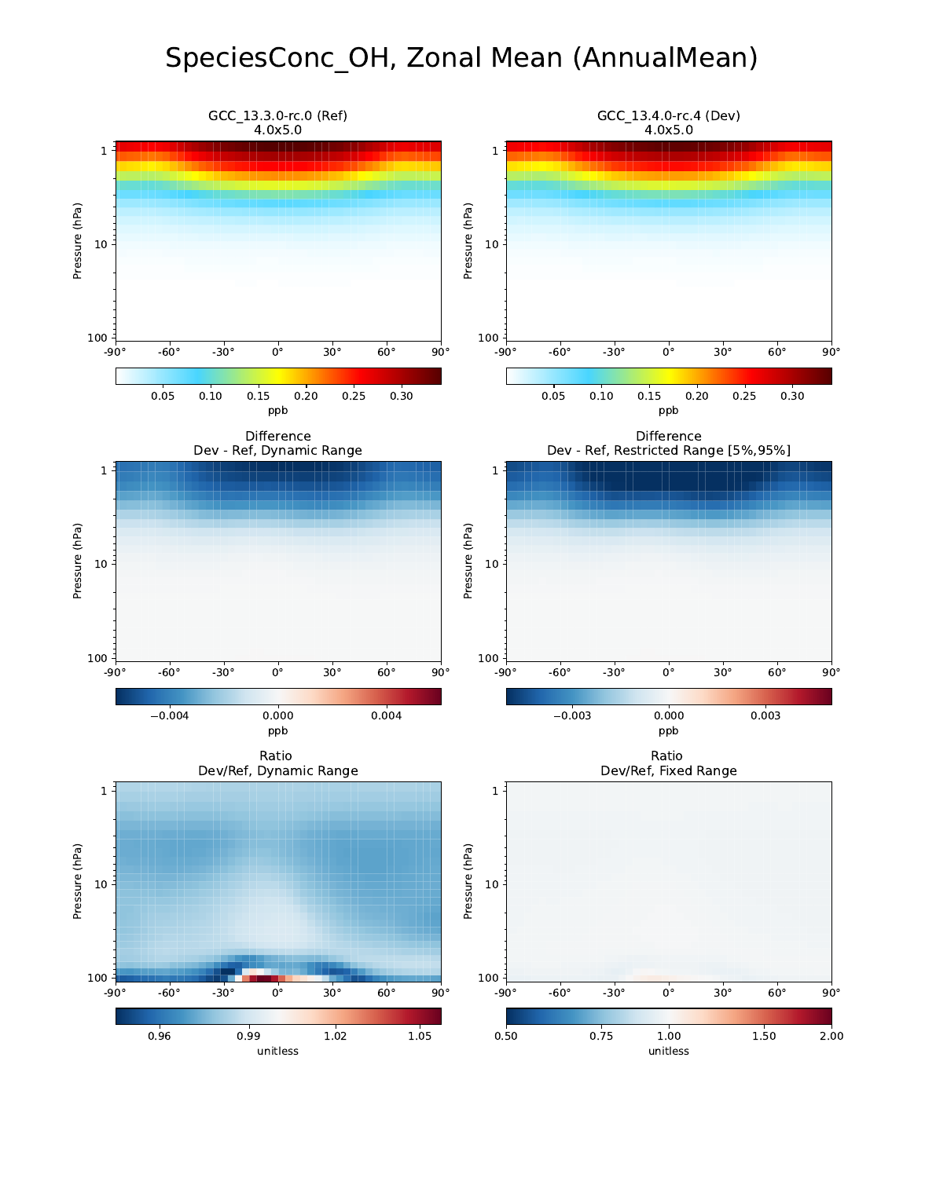## SpeciesConc\_OH, Zonal Mean (AnnualMean)